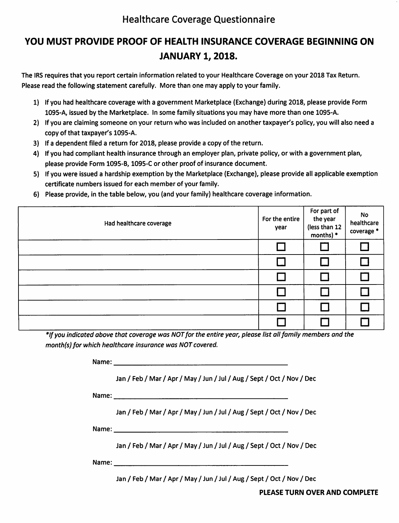# Healthcare Coverage Questionnaire

# YOU MUST PROVIDE PROOF OF HEALTH INSURANCE COVERAGE BEGINNING ON JANUARY 1, 2018.

The IRS requires that you report certain information related to your Healthcare Coverage on your 2018 Tax Return. Please read the following statement carefully. More than one may apply to your family.

- 1) If you had healthcare coverage with a government Marketplace (Exchange) during 2018, please provide Form 1095-A, issued by the Marketplace. In some family situations you may have more than one 1095-A.
- 2) If you are claiming someone on your return who was included on another taxpayer's policy, you will also need a copy of that taxpayer's 1095-A.
- 3) If a dependent filed a return for 2018, please provide a copy of the return.
- 4) If you had compliant health insurance through an employer plan, private policy, or with a government plan, please provide Form 1095-B, 1095-C or other proof of insurance document.
- 5) If you were issued a hardship exemption by the Marketplace (Exchange), please provide all applicable exemption certificate numbers issued for each member of your family.
- 6) Please provide, in the table below, you (and your family) healthcare coverage information.

| Had healthcare coverage | For the entire<br>year | For part of<br>the year<br>(less than 12<br>months) * | <b>No</b><br>healthcare<br>coverage * |
|-------------------------|------------------------|-------------------------------------------------------|---------------------------------------|
|                         |                        |                                                       |                                       |
|                         |                        |                                                       |                                       |
|                         |                        |                                                       |                                       |
|                         |                        |                                                       |                                       |
|                         |                        |                                                       |                                       |
|                         |                        |                                                       |                                       |

\* If you indicated above that coverage wos NOT for the entire year, please list all family members and the month(s) for which healthcare insurance was NOT covered.

Name: <u>Name: Name: Name: Name: Name: Name: Name: Name: Name: Name: Name: Name: Name: Name: Name: Name: Name: Name: Name: Name: Name: Name: Name: Name: Name: Name: Name: Name: Name: Name: Name: Name: Name: Name: Name: Name:</u>

Jan / Feb / Mar / Apr / May / Jun / Jul / Aug / Sept / Oct / Nov / Dec

Name: when the contract of the contract of the contract of the contract of the contract of the contract of the contract of the contract of the contract of the contract of the contract of the contract of the contract of the

Jan / Feb / Mar / Apr / May / Jun / Jul / Aug / Sept / Oct / Nov / Dec

Name:

Jan / Feb / Mar / Apr / May / Jun / Jul / Aug / Sept / Oct / Nov / Dec

Name:

Jan / Feb / Mar / Apr / May / Jun / Jul / Aug / Sept / Oct / Nov / Dec

PLEASE TURN OVER AND COMPLETE